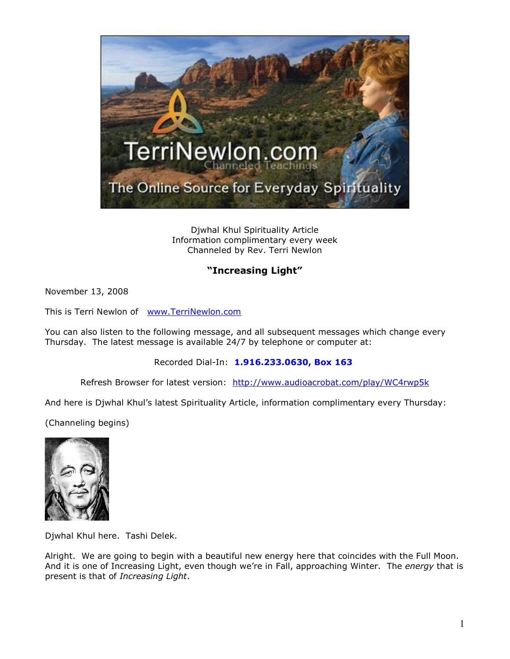

Djwhal Khul Spirituality Article Information complimentary every week Channeled by Rev. Terri Newlon

## **"Increasing Light"**

November 13, 2008

This is Terri Newlon of [www.TerriNewlon.com](http://www.terrinewlon.com/)

You can also listen to the following message, and all subsequent messages which change every Thursday. The latest message is available 24/7 by telephone or computer at:

Recorded Dial-In: **1.916.233.0630, Box 163**

Refresh Browser for latest version: <http://www.audioacrobat.com/play/WC4rwp5k>

And here is Djwhal Khul's latest Spirituality Article, information complimentary every Thursday:

(Channeling begins)



Djwhal Khul here. Tashi Delek.

Alright. We are going to begin with a beautiful new energy here that coincides with the Full Moon. And it is one of Increasing Light, even though we're in Fall, approaching Winter. The *energy* that is present is that of *Increasing Light*.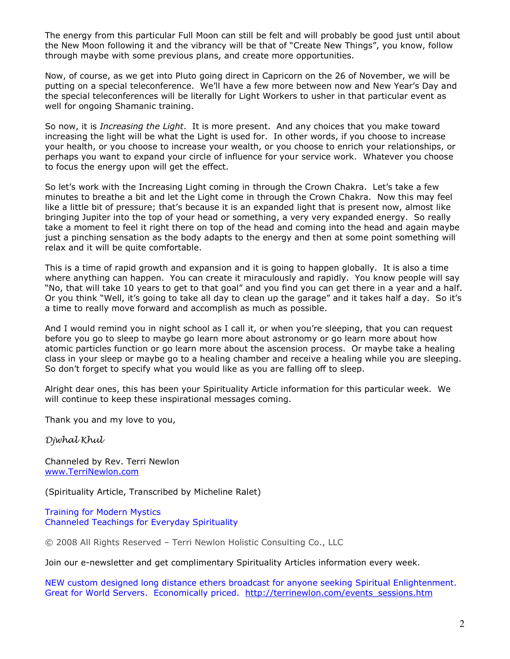The energy from this particular Full Moon can still be felt and will probably be good just until about the New Moon following it and the vibrancy will be that of "Create New Things", you know, follow through maybe with some previous plans, and create more opportunities.

Now, of course, as we get into Pluto going direct in Capricorn on the 26 of November, we will be putting on a special teleconference. We'll have a few more between now and New Year's Day and the special teleconferences will be literally for Light Workers to usher in that particular event as well for ongoing Shamanic training.

So now, it is *Increasing the Light*. It is more present. And any choices that you make toward increasing the light will be what the Light is used for. In other words, if you choose to increase your health, or you choose to increase your wealth, or you choose to enrich your relationships, or perhaps you want to expand your circle of influence for your service work. Whatever you choose to focus the energy upon will get the effect.

So let's work with the Increasing Light coming in through the Crown Chakra. Let's take a few minutes to breathe a bit and let the Light come in through the Crown Chakra. Now this may feel like a little bit of pressure; that's because it is an expanded light that is present now, almost like bringing Jupiter into the top of your head or something, a very very expanded energy. So really take a moment to feel it right there on top of the head and coming into the head and again maybe just a pinching sensation as the body adapts to the energy and then at some point something will relax and it will be quite comfortable.

This is a time of rapid growth and expansion and it is going to happen globally. It is also a time where anything can happen. You can create it miraculously and rapidly. You know people will say "No, that will take 10 years to get to that goal" and you find you can get there in a year and a half. Or you think "Well, it's going to take all day to clean up the garage" and it takes half a day. So it's a time to really move forward and accomplish as much as possible.

And I would remind you in night school as I call it, or when you're sleeping, that you can request before you go to sleep to maybe go learn more about astronomy or go learn more about how atomic particles function or go learn more about the ascension process. Or maybe take a healing class in your sleep or maybe go to a healing chamber and receive a healing while you are sleeping. So don't forget to specify what you would like as you are falling off to sleep.

Alright dear ones, this has been your Spirituality Article information for this particular week. We will continue to keep these inspirational messages coming.

Thank you and my love to you,

*Djwhal Khul*

Channeled by Rev. Terri Newlon [www.TerriNewlon.com](http://www.terrinewlon.com/)

(Spirituality Article, Transcribed by Micheline Ralet)

Training for Modern Mystics [Channeled Teachings for Everyday Spirituality](http://www.terrinewlon.com/)

© 2008 All Rights Reserved – Terri Newlon Holistic Consulting Co., LLC

Join our e-newsletter and get complimentary Spirituality Articles information every week.

NEW custom designed long distance ethers broadcast for anyone seeking Spiritual Enlightenment. Great for World Servers. Economically priced. [http://terrinewlon.com/events\\_sessions.htm](http://terrinewlon.com/events_sessions.htm)